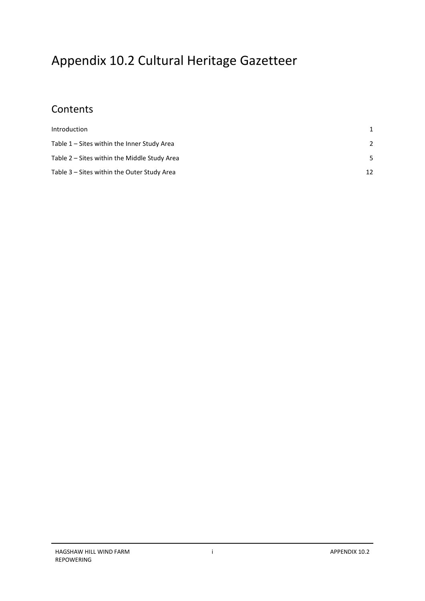# Appendix 10.2 Cultural Heritage Gazetteer

### **Contents**

| Introduction                                 | 1             |
|----------------------------------------------|---------------|
| Table 1 – Sites within the Inner Study Area  | $\mathcal{P}$ |
| Table 2 – Sites within the Middle Study Area | 5             |
| Table 3 – Sites within the Outer Study Area  | 12            |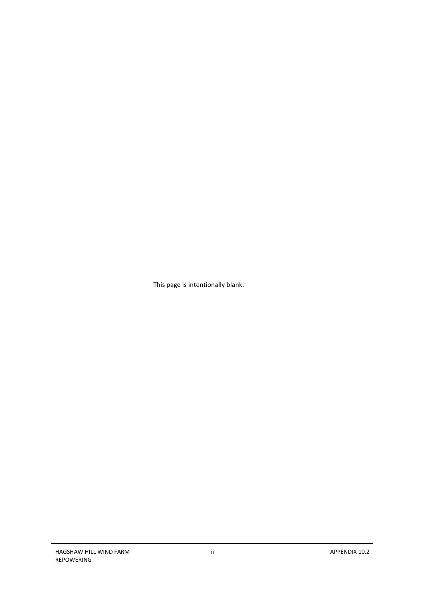This page is intentionally blank.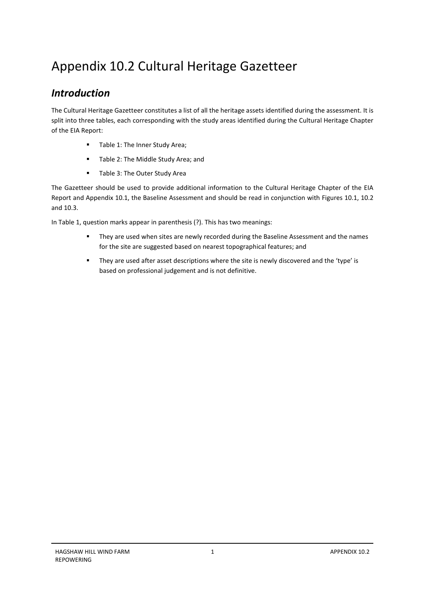## Appendix 10.2 Cultural Heritage Gazetteer

#### <span id="page-2-0"></span>*Introduction*

The Cultural Heritage Gazetteer constitutes a list of all the heritage assets identified during the assessment. It is split into three tables, each corresponding with the study areas identified during the Cultural Heritage Chapter of the EIA Report:

- Table 1: The Inner Study Area;
- Table 2: The Middle Study Area; and
- **Table 3: The Outer Study Area**

The Gazetteer should be used to provide additional information to the Cultural Heritage Chapter of the EIA Report and Appendix 10.1, the Baseline Assessment and should be read in conjunction with Figures 10.1, 10.2 and 10.3.

In Table 1, question marks appear in parenthesis (?). This has two meanings:

- **They are used when sites are newly recorded during the Baseline Assessment and the names** for the site are suggested based on nearest topographical features; and
- **They are used after asset descriptions where the site is newly discovered and the 'type' is** based on professional judgement and is not definitive.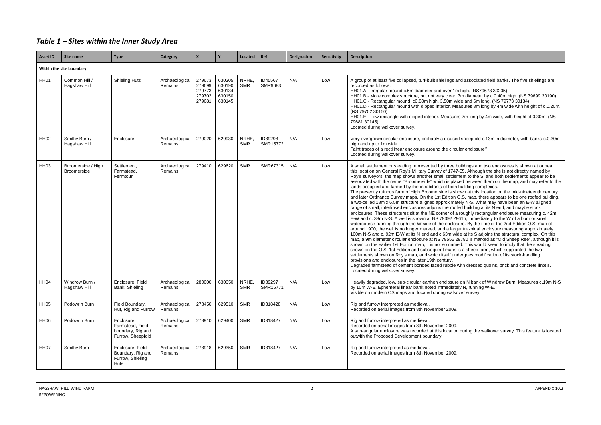s and associated field banks. The five shielings are 1m high. (NS79673 30205) ar. 7m diameter by c.0.40m high. (NS 79699 30190)  $h$  wide and 6m long. (NS 79773 30134) Measures 8m long by 4m wide with height of c.0.20m. ures 7m long by 4m wide, with height of 0.30m. (NS

ised sheepfold c.13m in diameter, with banks c.0.30m

ircular enclosure?

e buildings and two enclosures is shown at or near 747-55. Although the site is not directly named by tlement to the S, and both settlements appear to be blaced between them on the map, and may refer to the oth building complexes.

shown at this location on the mid-nineteenth century on O.S. map, there appears to be one roofed building, mately N-S. What may have been an E-W aligned  $\overline{\text{oofed}}$  building at its N end, and maybe stock f a roughly rectangular enclosure measuring c. 42m 29615, immediately to the W of a burn or small losure. By the time of the 2nd Edition O.S. map of arger trezoidal enclosure measuring approximately wide at its S adjoins the structural complex. On this 5 29780 is marked as "Old Sheep Ree", although it is amed. This would seem to imply that the steading ps is a sheep farm, which supplanted the two undergoes modification of its stock-handling

le with dressed quoins, brick and concrete lintels.

ure on N bank of Windrow Burn. Measures c.19m N-S ately N, running W-E. alkover survey.

tion during the walkover survey. This feature is located

#### <span id="page-3-0"></span>*Table 1 – Sites within the Inner Study Area*

| <b>Asset ID</b>  | Site name                                | <b>Type</b>                                                              | Category                  | $\boldsymbol{X}$                                   | Y                                                  | Located                   | Ref                       | <b>Designation</b> | <b>Sensitivity</b> | <b>Description</b>                                                                                                                                                                                                                                                                                                                                                                                                                                                                                                                                                                                                                                                                                                                                                                                                                                                                                                                                                                                                                                                                                                                                                                       |
|------------------|------------------------------------------|--------------------------------------------------------------------------|---------------------------|----------------------------------------------------|----------------------------------------------------|---------------------------|---------------------------|--------------------|--------------------|------------------------------------------------------------------------------------------------------------------------------------------------------------------------------------------------------------------------------------------------------------------------------------------------------------------------------------------------------------------------------------------------------------------------------------------------------------------------------------------------------------------------------------------------------------------------------------------------------------------------------------------------------------------------------------------------------------------------------------------------------------------------------------------------------------------------------------------------------------------------------------------------------------------------------------------------------------------------------------------------------------------------------------------------------------------------------------------------------------------------------------------------------------------------------------------|
|                  | Within the site boundary                 |                                                                          |                           |                                                    |                                                    |                           |                           |                    |                    |                                                                                                                                                                                                                                                                                                                                                                                                                                                                                                                                                                                                                                                                                                                                                                                                                                                                                                                                                                                                                                                                                                                                                                                          |
| HH01             | Common Hill /<br>Hagshaw Hill            | <b>Shieling Huts</b>                                                     | Archaeological<br>Remains | 279673,<br>279699,<br>279773,<br>279702,<br>279681 | 630205,<br>630190,<br>630134,<br>630150,<br>630145 | NRHE,<br><b>SMR</b>       | ID45567<br><b>SMR9683</b> | N/A                | Low                | A group of at least five collapsed, turf-built shielings a<br>recorded as follows:<br>HH01.A - Irregular mound c.6m diameter and over 1n<br>HH01.B - More complex structure, but not very clear.<br>HH01.C - Rectangular mound, c0.80m high, 3.50m w<br>HH01.D - Rectangular mound with dipped interior. Me<br>(NS 79702 30150)<br>HH01.E - Low rectangle with dipped interior. Measure<br>79681 30145)<br>Located during walkover survey.                                                                                                                                                                                                                                                                                                                                                                                                                                                                                                                                                                                                                                                                                                                                               |
| HH <sub>02</sub> | Smithy Burn /<br>Hagshaw Hill            | Enclosure                                                                | Archaeological<br>Remains | 279020                                             | 629930                                             | NRHE,<br><b>SMR</b>       | ID89298<br>SMR15772       | N/A                | Low                | Very overgrown circular enclosure, probably a disuse<br>high and up to 1m wide.<br>Faint traces of a rectilinear enclosure around the circu<br>Located during walkover survey.                                                                                                                                                                                                                                                                                                                                                                                                                                                                                                                                                                                                                                                                                                                                                                                                                                                                                                                                                                                                           |
| HH03             | Broomerside / High<br><b>Broomerside</b> | Settlement,<br>Farmstead,<br>Fermtoun                                    | Archaeological<br>Remains | 279410                                             | 629620                                             | <b>SMR</b>                | SMR67315                  | N/A                | Low                | A small settlement or steading represented by three b<br>this location on General Roy's Military Survey of 1747<br>Roy's surveyors, the map shows another small settler<br>associated with the name "Broomerside" which is pla<br>lands occupied and farmed by the inhabitants of both<br>The presently ruinous farm of High Broomerside is sh<br>and later Ordnance Survey maps. On the 1st Edition<br>a two-celled 18m x 6.5m structure aligned approxima<br>range of small, interlinked enclosures adjoins the root<br>enclosures. These structures sit at the NE corner of a<br>E-W and c. 38m N-S. A well is shown at NS 79392 29<br>watercourse running through the W side of the enclos<br>around 1900, the well is no longer marked, and a larg<br>100m N-S and c. 92m E-W at its N end and c.63m wi<br>map, a 9m diameter circular enclosure at NS 79555 2<br>shown on the earlier 1st Edition map, it is not so nam<br>shown on the O.S. 1st Edition and subsequent maps<br>settlements shown on Roy's map, and which itself un<br>provisions and enclosures in the later 19th century.<br>Degraded farmstead of cement bonded faced rubble<br>Located during walkover survey. |
| HH04             | Windrow Burn /<br>Hagshaw Hill           | Enclosure, Field<br>Bank, Shieling                                       | Archaeological<br>Remains | 280000                                             | 630050                                             | <b>NRHE</b><br><b>SMR</b> | ID89297<br>SMR15771       | N/A                | Low                | Heavily degraded, low, sub-circular earthen enclosure<br>by 10m W-E. Ephemeral linear bank noted immediate<br>Visible on modern OS maps and located during walk                                                                                                                                                                                                                                                                                                                                                                                                                                                                                                                                                                                                                                                                                                                                                                                                                                                                                                                                                                                                                          |
| HH <sub>05</sub> | Podowrin Burn                            | Field Boundary,<br>Hut, Rig and Furrow                                   | Archaeological<br>Remains | 278450                                             | 629510                                             | <b>SMR</b>                | ID318428                  | N/A                | Low                | Rig and furrow interpreted as medieval.<br>Recorded on aerial images from 8th November 2009.                                                                                                                                                                                                                                                                                                                                                                                                                                                                                                                                                                                                                                                                                                                                                                                                                                                                                                                                                                                                                                                                                             |
| HH06             | Podowrin Burn                            | Enclosure,<br>Farmstead, Field<br>boundary, Rig and<br>Furrow, Sheepfold | Archaeological<br>Remains | 278910                                             | 629400                                             | <b>SMR</b>                | ID318427                  | N/A                | Low                | Rig and furrow interpreted as medieval.<br>Recorded on aerial images from 8th November 2009.<br>A sub-angular enclosure was recorded at this location<br>outwith the Proposed Development boundary                                                                                                                                                                                                                                                                                                                                                                                                                                                                                                                                                                                                                                                                                                                                                                                                                                                                                                                                                                                       |
| HH07             | Smithy Burn                              | Enclosure, Field<br>Boundary, Rig and<br>Furrow, Shieling<br>Huts        | Archaeological<br>Remains | 278918                                             | 629350                                             | <b>SMR</b>                | ID318427                  | N/A                | Low                | Rig and furrow interpreted as medieval.<br>Recorded on aerial images from 8th November 2009.                                                                                                                                                                                                                                                                                                                                                                                                                                                                                                                                                                                                                                                                                                                                                                                                                                                                                                                                                                                                                                                                                             |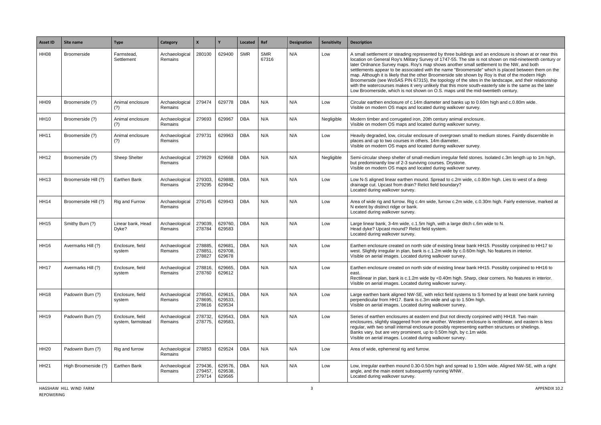ee buildings and an enclosure is shown at or near this 55. The site is not shown on mid-nineteenth century or nother small settlement to the NW, and both  $e$  "Broomerside" which is placed between them on the de site shown by Roy is that of the modern High gy of the sites in the landscape, and their relationship with the watercourses it very site is the same as the later ps until the mid-twentieth century.

banks up to 0.60m high and c.0.80m wide. alkover survey.

rown small to medium stones. Faintly discernible in alkover survey.

2009 alar field stones. Isolated c.3m length up to 1m high, ystone. alkover survey.

c.2m wide, c.0.80m high. Lies to west of a deep<br>dary?

c.2m wide, c.0.30m high. Fairly extensive, marked at

arge ditch c.6m wide to N.

) linear bank HH15. Possibly conjoined to HH17 to by c.0.60m high. No features in interior. survey.

Burd I and thear bank HH15. Possibly conjoined to HH16 to

high. Sharp, clear corners. No features in interior. survey.

d systems to S formed by at least one bank running up to 1.50m high. survey.

ot directly conjoined with) HH18. Two main lestern enclosure is rectilinear, and eastern is less representing earthen structures or shielings. igh, by c.1m wide. survey.

d spread to 1.50m wide. Aligned NW-SE, with a right<br>VNW.

| <b>Asset ID</b> | Site name            | <b>Type</b>                           | Category                  | X                            | Y                            | Located    | <b>Ref</b>          | <b>Designation</b> | Sensitivity | <b>Description</b>                                                                                                                                                                                                                                                                                                                                                                                                                                                                                                                                                     |
|-----------------|----------------------|---------------------------------------|---------------------------|------------------------------|------------------------------|------------|---------------------|--------------------|-------------|------------------------------------------------------------------------------------------------------------------------------------------------------------------------------------------------------------------------------------------------------------------------------------------------------------------------------------------------------------------------------------------------------------------------------------------------------------------------------------------------------------------------------------------------------------------------|
| HH08            | <b>Broomerside</b>   | Farmstead,<br>Settlement              | Archaeological<br>Remains | 280100                       | 629400                       | <b>SMR</b> | <b>SMR</b><br>67316 | N/A                | Low         | A small settlement or steading represented by three buildings and a<br>location on General Roy's Military Survey of 1747-55. The site is no<br>later Ordnance Survey maps. Roy's map shows another small settl<br>settlements appear to be associated with the name "Broomerside"<br>map. Although it is likely that the other Broomerside site shown by<br>Broomerside (see WoSAS PIN 67315), the topology of the sites in<br>with the watercourses makes it very unlikely that this more south-e<br>Low Broomerside, which is not shown on O.S. maps until the mid-t |
| HH09            | Broomerside (?)      | Animal enclosure<br>(?)               | Archaeological<br>Remains | 279474                       | 629778                       | <b>DBA</b> | N/A                 | N/A                | Low         | Circular earthen enclosure of c.14m diameter and banks up to 0.60<br>Visible on modern OS maps and located during walkover survey.                                                                                                                                                                                                                                                                                                                                                                                                                                     |
| <b>HH10</b>     | Broomerside (?)      | Animal enclosure<br>(?)               | Archaeological<br>Remains | 279693                       | 629967                       | <b>DBA</b> | N/A                 | N/A                | Negligible  | Modern timber and corrugated iron, 20th century animal enclosure.<br>Visible on modern OS maps and located during walkover survey.                                                                                                                                                                                                                                                                                                                                                                                                                                     |
| <b>HH11</b>     | Broomerside (?)      | Animal enclosure<br>(?)               | Archaeological<br>Remains | 279731                       | 629963                       | <b>DBA</b> | N/A                 | N/A                | Low         | Heavily degraded, low, circular enclosure of overgrown small to me<br>places and up to two courses in others. 14m diameter.<br>Visible on modern OS maps and located during walkover survey.                                                                                                                                                                                                                                                                                                                                                                           |
| <b>HH12</b>     | Broomerside (?)      | Sheep Shelter                         | Archaeological<br>Remains | 279929                       | 629668                       | <b>DBA</b> | N/A                 | N/A                | Negligible  | Semi-circular sheep shelter of small-medium irregular field stones.<br>but predominantly low of 2-3 surviving courses. Drystone.<br>Visible on modern OS maps and located during walkover survey.                                                                                                                                                                                                                                                                                                                                                                      |
| <b>HH13</b>     | Broomerside Hill (?) | Earthen Bank                          | Archaeological<br>Remains | 279303,<br>279295            | 629888,<br>629942            | <b>DBA</b> | N/A                 | N/A                | Low         | Low N-S aligned linear earthen mound. Spread to c.2m wide, c.0.8<br>drainage cut. Upcast from drain? Relict field boundary?<br>Located during walkover survey.                                                                                                                                                                                                                                                                                                                                                                                                         |
| <b>HH14</b>     | Broomerside Hill (?) | Rig and Furrow                        | Archaeological<br>Remains | 279145                       | 629943                       | <b>DBA</b> | N/A                 | N/A                | Low         | Area of wide rig and furrow. Rig c.4m wide, furrow c.2m wide, c.0.3<br>N extent by distinct ridge or bank.<br>Located during walkover survey.                                                                                                                                                                                                                                                                                                                                                                                                                          |
| <b>HH15</b>     | Smithy Burn (?)      | Linear bank, Head<br>Dyke?            | Archaeological<br>Remains | 279039,<br>278784            | 629760,<br>629583            | <b>DBA</b> | N/A                 | N/A                | Low         | Large linear bank, 3-4m wide, c.1.5m high, with a large ditch c.6m<br>Head dyke? Upcast mound? Relict field system.<br>Located during walkover survey.                                                                                                                                                                                                                                                                                                                                                                                                                 |
| <b>HH16</b>     | Avermarks Hill (?)   | Enclosure, field<br>system            | Archaeological<br>Remains | 278885,<br>278851,<br>278827 | 629681,<br>629708,<br>629678 | <b>DBA</b> | N/A                 | N/A                | Low         | Earthen enclosure created on north side of existing linear bank HH<br>west. Slightly irregular in plan, bank is c.1.2m wide by c.0.60m high<br>Visible on aerial images. Located during walkover survey.                                                                                                                                                                                                                                                                                                                                                               |
| <b>HH17</b>     | Avermarks Hill (?)   | Enclosure, field<br>system            | Archaeological<br>Remains | 278816,<br>278760            | 629665,<br>629612            | <b>DBA</b> | N/A                 | N/A                | Low         | Earthen enclosure created on north side of existing linear bank HH<br>east.<br>Rectilinear in plan, bank is c.1.2m wide by <0.40m high. Sharp, cle<br>Visible on aerial images. Located during walkover survey.                                                                                                                                                                                                                                                                                                                                                        |
| <b>HH18</b>     | Padowrin Burn (?)    | Enclosure, field<br>system            | Archaeological<br>Remains | 278563,<br>278695,<br>278616 | 629615,<br>629533,<br>629534 | <b>DBA</b> | N/A                 | N/A                | Low         | Large earthen bank aligned NW-SE, with relict field systems to S fo<br>perpendicular from HH17. Bank is c.3m wide and up to 1.50m high<br>Visible on aerial images. Located during walkover survey.                                                                                                                                                                                                                                                                                                                                                                    |
| <b>HH19</b>     | Padowrin Burn (?)    | Enclosure, field<br>system, farmstead | Archaeological<br>Remains | 278732,<br>278775,           | 629543,<br>629583,           | <b>DBA</b> | N/A                 | N/A                | Low         | Series of earthen enclosures at eastern end (but not directly conjoi<br>enclosures, slightly staggered from one another. Western enclosur<br>regular, with two small internal enclosure possibly representing ear<br>Banks vary, but are very prominent, up to 0.50m high, by c.1m wid<br>Visible on aerial images. Located during walkover survey.                                                                                                                                                                                                                    |
| <b>HH20</b>     | Padowrin Burn (?)    | Rig and furrow                        | Archaeological<br>Remains | 278853                       | 629524                       | <b>DBA</b> | N/A                 | N/A                | Low         | Area of wide, ephemeral rig and furrow.                                                                                                                                                                                                                                                                                                                                                                                                                                                                                                                                |
| <b>HH21</b>     | High Broomerside (?) | Earthen Bank                          | Archaeological<br>Remains | 279436,<br>279457,<br>279714 | 629576,<br>629538,<br>629565 | <b>DBA</b> | N/A                 | N/A                | Low         | Low, irregular earthen mound 0.30-0.50m high and spread to 1.50r<br>angle, and the main extent subsequently running WNW.<br>Located during walkover survey.                                                                                                                                                                                                                                                                                                                                                                                                            |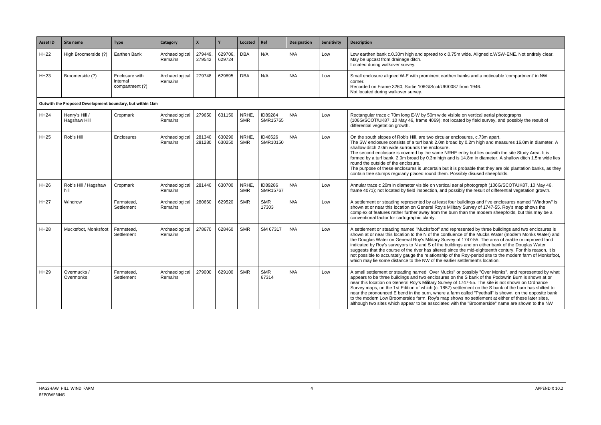75m wide. Aligned c.WSW-ENE. Not entirely clear.

en banks and a noticeable 'compartment' in NW

087 from 1946.

sible on vertical aerial photographs ocated by field survey, and possibly the result of

enclosures, c.73m apart. ad by 0.2m high and measures 16.0m in diameter. A

HE entry but lies outwith the site Study Area. It is nd is 14.8m in diameter. A shallow ditch 1.5m wide lies

t is probable that they are old plantation banks, as they <sup>2</sup>ossibly disused sheepfolds.

aerial photograph (106G/SCOT/UK87, 10 May 46, pssibly the result of differential vegetation growth.

ur buildings and five enclosures named "Windrow" is litary Survey of 1747-55. Roy's map shows the urn than the modern sheepfolds, but this may be a

epresented by three buildings and two enclosures is ence of the Mucks Water (modern Monks Water) and ey of 1747-55. The area of arable or improved land dings and on either bank of the Douglas Water nce the mid-eighteenth century. For this reason, it is f the Roy-period site to the modern farm of Monksfoot, ier settlement's location.

s" or possibly "Over Monks", and represented by what on the S bank of the Podowrin Burn is shown at or of 1747-55. The site is not shown on Ordnance settlement on the S bank of the burn has shifted to farm called "Pyethall" is shown, on the opposite bank shows no settlement at either of these later sites, with the "Broomerside" name are shown to the NW

| <b>Asset ID</b> | Site name                                                 | <b>Type</b>                                   | Category                  | $\mathbf{x}$      | Y                 | Located             | Ref                 | <b>Designation</b> | <b>Sensitivity</b> | <b>Description</b>                                                                                                                                                                                                                                                                                                                                                                                                           |
|-----------------|-----------------------------------------------------------|-----------------------------------------------|---------------------------|-------------------|-------------------|---------------------|---------------------|--------------------|--------------------|------------------------------------------------------------------------------------------------------------------------------------------------------------------------------------------------------------------------------------------------------------------------------------------------------------------------------------------------------------------------------------------------------------------------------|
| <b>HH22</b>     | High Broomerside (?)                                      | Earthen Bank                                  | Archaeological<br>Remains | 279449,<br>279542 | 629706,<br>629724 | <b>DBA</b>          | N/A                 | N/A                | Low                | Low earthen bank c.0.30m high and spread to c.0.7<br>May be upcast from drainage ditch.<br>Located during walkover survey.                                                                                                                                                                                                                                                                                                   |
| <b>HH23</b>     | Broomerside (?)                                           | Enclosure with<br>internal<br>compartment (?) | Archaeological<br>Remains | 279748            | 629895            | <b>DBA</b>          | N/A                 | N/A                | Low                | Small enclosure aligned W-E with prominent earthe<br>corner.<br>Recorded on Frame 3260, Sortie 106G/Scot/UK/00<br>Not located during walkover survey.                                                                                                                                                                                                                                                                        |
|                 | Outwith the Proposed Development boundary, but within 1km |                                               |                           |                   |                   |                     |                     |                    |                    |                                                                                                                                                                                                                                                                                                                                                                                                                              |
| <b>HH24</b>     | Henry's Hill /<br>Hagshaw Hill                            | Cropmark                                      | Archaeological<br>Remains | 279650            | 631150            | NRHE,<br><b>SMR</b> | ID89284<br>SMR15765 | N/A                | Low                | Rectangular trace c 70m long E-W by 50m wide vis<br>(106G/SCOT/UK87, 10 May 46, frame 4069); not lo<br>differential vegetation growth.                                                                                                                                                                                                                                                                                       |
| <b>HH25</b>     | Rob's Hill                                                | Enclosures                                    | Archaeological<br>Remains | 281340<br>281280  | 630290<br>630250  | NRHE,<br><b>SMR</b> | ID46526<br>SMR10150 | N/A                | Low                | On the south slopes of Rob's Hill, are two circular e<br>The SW enclosure consists of a turf bank 2.0m broa<br>shallow ditch 2.0m wide surrounds the enclosure.<br>The second enclosure is covered by the same NRH<br>formed by a turf bank, 2.0m broad by 0.3m high and<br>round the outside of the enclosure.<br>The purpose of these enclosures is uncertain but it<br>contain tree stumps regularly placed round them. P |
| <b>HH26</b>     | Rob's Hill / Hagshaw<br>hill                              | Cropmark                                      | Archaeological<br>Remains | 281440            | 630700            | NRHE,<br><b>SMR</b> | ID89286<br>SMR15767 | N/A                | Low                | Annular trace c 20m in diameter visible on vertical a<br>frame 4071); not located by field inspection, and po                                                                                                                                                                                                                                                                                                                |
| <b>HH27</b>     | Windrow                                                   | Farmstead,<br>Settlement                      | Archaeological<br>Remains | 280660            | 629520            | <b>SMR</b>          | <b>SMR</b><br>17303 | N/A                | Low                | A settlement or steading represented by at least for<br>shown at or near this location on General Roy's Mil<br>complex of features rather further away from the bu<br>conventional factor for cartographic clarity.                                                                                                                                                                                                          |
| <b>HH28</b>     | Mucksfoot, Monksfoot                                      | Farmstead,<br>Settlement                      | Archaeological<br>Remains | 278670            | 628460            | <b>SMR</b>          | SM 67317            | N/A                | Low                | A settlement or steading named "Mucksfoot" and re<br>shown at or near this location to the N of the conflu-<br>the Douglas Water on General Roy's Military Surve<br>indicated by Roy's surveyors to N and S of the build<br>suggests that the course of the river has altered sin<br>not possible to accurately gauge the relationship of<br>which may lie some distance to the NW of the earlie                             |
| <b>HH29</b>     | Overmucks /<br>Overmonks                                  | Farmstead,<br>Settlement                      | Archaeological<br>Remains | 279000            | 629100            | <b>SMR</b>          | SMR<br>67314        | N/A                | Low                | A small settlement or steading named "Over Mucks<br>appears to be three buildings and two enclosures o<br>near this location on General Roy's Military Survey<br>Survey maps, on the 1st Edition of which (c. 1857)<br>near the pronounced E bend in the burn, where a fa<br>to the modern Low Broomerside farm. Roy's map s<br>although two sites which appear to be associated w                                           |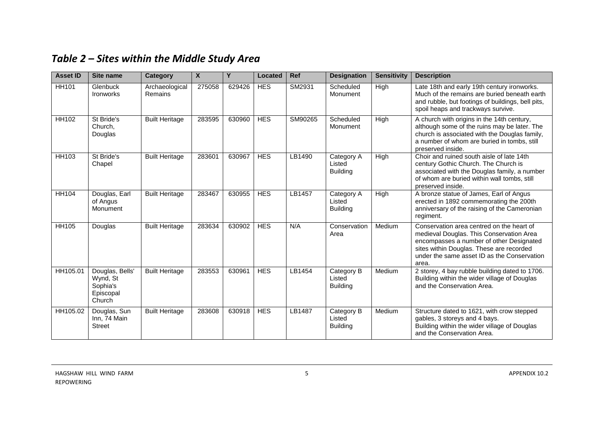<span id="page-6-0"></span>

| <b>Asset ID</b> | Site name                                                      | <b>Category</b>                  | X      | Υ      | Located    | <b>Ref</b> | <b>Designation</b>                      | <b>Sensitivity</b> | <b>Description</b>                                                                                                                                                                                                                    |
|-----------------|----------------------------------------------------------------|----------------------------------|--------|--------|------------|------------|-----------------------------------------|--------------------|---------------------------------------------------------------------------------------------------------------------------------------------------------------------------------------------------------------------------------------|
| <b>HH101</b>    | Glenbuck<br><b>Ironworks</b>                                   | Archaeological<br><b>Remains</b> | 275058 | 629426 | <b>HES</b> | SM2931     | Scheduled<br>Monument                   | High               | Late 18th and early 19th century ironworks.<br>Much of the remains are buried beneath earth<br>and rubble, but footings of buildings, bell pits,<br>spoil heaps and trackways survive.                                                |
| HH102           | St Bride's<br>Church,<br>Douglas                               | <b>Built Heritage</b>            | 283595 | 630960 | <b>HES</b> | SM90265    | Scheduled<br>Monument                   | High               | A church with origins in the 14th century,<br>although some of the ruins may be later. The<br>church is associated with the Douglas family,<br>a number of whom are buried in tombs, still<br>preserved inside.                       |
| HH103           | St Bride's<br>Chapel                                           | <b>Built Heritage</b>            | 283601 | 630967 | <b>HES</b> | LB1490     | Category A<br>Listed<br><b>Building</b> | High               | Choir and ruined south aisle of late 14th<br>century Gothic Church. The Church is<br>associated with the Douglas family, a number<br>of whom are buried within wall tombs, still<br>preserved inside.                                 |
| <b>HH104</b>    | Douglas, Earl<br>of Angus<br>Monument                          | <b>Built Heritage</b>            | 283467 | 630955 | <b>HES</b> | LB1457     | Category A<br>Listed<br><b>Building</b> | High               | A bronze statue of James, Earl of Angus<br>erected in 1892 commemorating the 200th<br>anniversary of the raising of the Cameronian<br>regiment.                                                                                       |
| <b>HH105</b>    | Douglas                                                        | <b>Built Heritage</b>            | 283634 | 630902 | <b>HES</b> | N/A        | Conservation<br>Area                    | Medium             | Conservation area centred on the heart of<br>medieval Douglas. This Conservation Area<br>encompasses a number of other Designated<br>sites within Douglas. These are recorded<br>under the same asset ID as the Conservation<br>area. |
| HH105.01        | Douglas, Bells'<br>Wynd, St<br>Sophia's<br>Episcopal<br>Church | <b>Built Heritage</b>            | 283553 | 630961 | <b>HES</b> | LB1454     | Category B<br>Listed<br><b>Building</b> | Medium             | 2 storey, 4 bay rubble building dated to 1706.<br>Building within the wider village of Douglas<br>and the Conservation Area.                                                                                                          |
| HH105.02        | Douglas, Sun<br>Inn, 74 Main<br><b>Street</b>                  | <b>Built Heritage</b>            | 283608 | 630918 | <b>HES</b> | LB1487     | Category B<br>Listed<br><b>Building</b> | Medium             | Structure dated to 1621, with crow stepped<br>gables, 3 storeys and 4 bays.<br>Building within the wider village of Douglas<br>and the Conservation Area.                                                                             |

## *Table 2 – Sites within the Middle Study Area*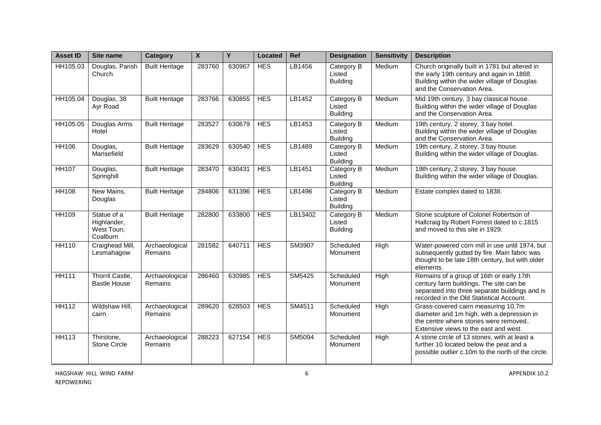| <b>Asset ID</b> | Site name                                            | <b>Category</b>                  | $\overline{\mathbf{X}}$ | Y      | Located    | Ref     | <b>Designation</b>                      | <b>Sensitivity</b> | <b>Description</b>                                                                                                                                                                |
|-----------------|------------------------------------------------------|----------------------------------|-------------------------|--------|------------|---------|-----------------------------------------|--------------------|-----------------------------------------------------------------------------------------------------------------------------------------------------------------------------------|
| HH105.03        | Douglas, Parish<br>Church                            | <b>Built Heritage</b>            | 283760                  | 630967 | <b>HES</b> | LB1456  | Category B<br>Listed<br><b>Building</b> | Medium             | Church originally built in 1781 but altered in<br>the early 19th century and again in 1868.<br>Building within the wider village of Douglas<br>and the Conservation Area.         |
| HH105.04        | Douglas, 38<br>Ayr Road                              | <b>Built Heritage</b>            | 283766                  | 630855 | <b>HES</b> | LB1452  | Category B<br>Listed<br><b>Building</b> | Medium             | Mid 19th century, 3 bay classical house.<br>Building within the wider village of Douglas<br>and the Conservation Area.                                                            |
| HH105.05        | Douglas Arms<br>Hotel                                | <b>Built Heritage</b>            | 283527                  | 630679 | <b>HES</b> | LB1453  | Category B<br>Listed<br><b>Building</b> | Medium             | 19th century, 2 storey, 3 bay hotel.<br>Building within the wider village of Douglas<br>and the Conservation Area.                                                                |
| HH106           | Douglas,<br>Mansefield                               | <b>Built Heritage</b>            | 283629                  | 630540 | <b>HES</b> | LB1489  | Category B<br>Listed<br><b>Building</b> | Medium             | 19th century, 2 storey, 3 bay house.<br>Building within the wider village of Douglas.                                                                                             |
| <b>HH107</b>    | Douglas,<br>Springhill                               | <b>Built Heritage</b>            | 283470                  | 630431 | <b>HES</b> | LB1451  | Category B<br>Listed<br><b>Building</b> | Medium             | 19th century, 2 storey, 3 bay house.<br>Building within the wider village of Douglas.                                                                                             |
| <b>HH108</b>    | New Mains,<br>Douglas                                | <b>Built Heritage</b>            | 284806                  | 631396 | <b>HES</b> | LB1496  | Category B<br>Listed<br><b>Building</b> | Medium             | Estate complex dated to 1838.                                                                                                                                                     |
| HH109           | Statue of a<br>Highlander,<br>West Toun,<br>Coalburn | <b>Built Heritage</b>            | 282800                  | 633800 | <b>HES</b> | LB13402 | Category B<br>Listed<br><b>Building</b> | Medium             | Stone sculpture of Colonel Robertson of<br>Hallcraig by Robert Forrest dated to c.1815<br>and moved to this site in 1929.                                                         |
| <b>HH110</b>    | Craighead Mill,<br>Lesmahagow                        | Archaeological<br>Remains        | 281582                  | 640711 | <b>HES</b> | SM3907  | Scheduled<br>Monument                   | High               | Water-powered corn mill in use until 1974, but<br>subsequently gutted by fire. Main fabric was<br>thought to be late 18th century, but with older<br>elements.                    |
| <b>HH111</b>    | Thorril Castle,<br><b>Bastle House</b>               | Archaeological<br>Remains        | 286460                  | 630985 | <b>HES</b> | SM5425  | Scheduled<br>Monument                   | High               | Remains of a group of 16th or early 17th<br>century farm buildings. The site can be<br>separated into three separate buildings and is<br>recorded in the Old Statistical Account. |
| <b>HH112</b>    | Wildshaw Hill,<br>cairn                              | Archaeological<br>Remains        | 289620                  | 628503 | <b>HES</b> | SM4511  | Scheduled<br>Monument                   | High               | Grass-covered cairn measuring 10.7m<br>diameter and 1m high, with a depression in<br>the centre where stones were removed<br>Extensive views to the east and west.                |
| <b>HH113</b>    | Thirstone,<br>Stone Circle                           | Archaeological<br><b>Remains</b> | 288223                  | 627154 | <b>HES</b> | SM5094  | Scheduled<br>Monument                   | High               | A stone circle of 13 stones, with at least a<br>further 10 located below the peat and a<br>possible outlier c.10m to the north of the circle.                                     |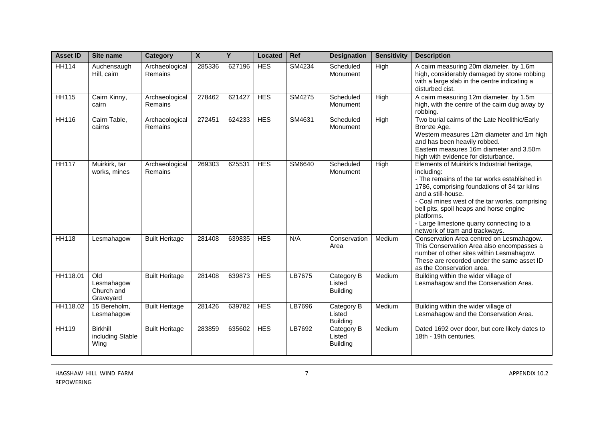| <b>Asset ID</b> | Site name                                    | Category                  | X      | Y      | Located    | Ref    | <b>Designation</b>                      | <b>Sensitivity</b> | <b>Description</b>                                                                                                                                                                                                                                                                                                                                                        |
|-----------------|----------------------------------------------|---------------------------|--------|--------|------------|--------|-----------------------------------------|--------------------|---------------------------------------------------------------------------------------------------------------------------------------------------------------------------------------------------------------------------------------------------------------------------------------------------------------------------------------------------------------------------|
| <b>HH114</b>    | Auchensaugh<br>Hill, cairn                   | Archaeological<br>Remains | 285336 | 627196 | <b>HES</b> | SM4234 | Scheduled<br>Monument                   | High               | A cairn measuring 20m diameter, by 1.6m<br>high, considerably damaged by stone robbing<br>with a large slab in the centre indicating a<br>disturbed cist.                                                                                                                                                                                                                 |
| <b>HH115</b>    | Cairn Kinny,<br>cairn                        | Archaeological<br>Remains | 278462 | 621427 | <b>HES</b> | SM4275 | Scheduled<br>Monument                   | High               | A cairn measuring 12m diameter, by 1.5m<br>high, with the centre of the cairn dug away by<br>robbing.                                                                                                                                                                                                                                                                     |
| <b>HH116</b>    | Cairn Table,<br>cairns                       | Archaeological<br>Remains | 272451 | 624233 | <b>HES</b> | SM4631 | Scheduled<br>Monument                   | High               | Two burial cairns of the Late Neolithic/Early<br>Bronze Age.<br>Western measures 12m diameter and 1m high<br>and has been heavily robbed.<br>Eastern measures 16m diameter and 3.50m<br>high with evidence for disturbance.                                                                                                                                               |
| <b>HH117</b>    | Muirkirk, tar<br>works, mines                | Archaeological<br>Remains | 269303 | 625531 | <b>HES</b> | SM6640 | Scheduled<br>Monument                   | High               | Elements of Muirkirk's Industrial heritage,<br>including:<br>- The remains of the tar works established in<br>1786, comprising foundations of 34 tar kilns<br>and a still-house.<br>- Coal mines west of the tar works, comprising<br>bell pits, spoil heaps and horse engine<br>platforms.<br>- Large limestone quarry connecting to a<br>network of tram and trackways. |
| <b>HH118</b>    | Lesmahagow                                   | <b>Built Heritage</b>     | 281408 | 639835 | <b>HES</b> | N/A    | Conservation<br>Area                    | Medium             | Conservation Area centred on Lesmahagow.<br>This Conservation Area also encompasses a<br>number of other sites within Lesmahagow.<br>These are recorded under the same asset ID<br>as the Conservation area.                                                                                                                                                              |
| HH118.01        | Old<br>Lesmahagow<br>Church and<br>Graveyard | <b>Built Heritage</b>     | 281408 | 639873 | <b>HES</b> | LB7675 | Category B<br>Listed<br><b>Building</b> | Medium             | Building within the wider village of<br>Lesmahagow and the Conservation Area.                                                                                                                                                                                                                                                                                             |
| HH118.02        | 15 Bereholm,<br>Lesmahagow                   | <b>Built Heritage</b>     | 281426 | 639782 | <b>HES</b> | LB7696 | Category B<br>Listed<br><b>Building</b> | Medium             | Building within the wider village of<br>Lesmahagow and the Conservation Area.                                                                                                                                                                                                                                                                                             |
| <b>HH119</b>    | <b>Birkhill</b><br>including Stable<br>Wing  | <b>Built Heritage</b>     | 283859 | 635602 | <b>HES</b> | LB7692 | Category B<br>Listed<br><b>Building</b> | Medium             | Dated 1692 over door, but core likely dates to<br>18th - 19th centuries.                                                                                                                                                                                                                                                                                                  |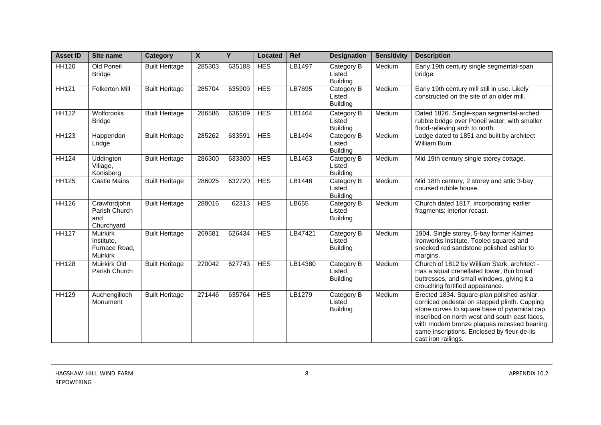| <b>Asset ID</b> | Site name                                                  | Category              | $\overline{\mathbf{X}}$ | Y      | Located    | Ref     | <b>Designation</b>                      | <b>Sensitivity</b> | <b>Description</b>                                                                                                                                                                                                                                                                                                |
|-----------------|------------------------------------------------------------|-----------------------|-------------------------|--------|------------|---------|-----------------------------------------|--------------------|-------------------------------------------------------------------------------------------------------------------------------------------------------------------------------------------------------------------------------------------------------------------------------------------------------------------|
| <b>HH120</b>    | Old Poneil<br><b>Bridge</b>                                | <b>Built Heritage</b> | 285303                  | 635188 | <b>HES</b> | LB1497  | Category B<br>Listed<br><b>Building</b> | Medium             | Early 19th century single segmental-span<br>bridge.                                                                                                                                                                                                                                                               |
| <b>HH121</b>    | <b>Folkerton Mill</b>                                      | <b>Built Heritage</b> | 285704                  | 635909 | <b>HES</b> | LB7695  | Category B<br>Listed<br><b>Building</b> | Medium             | Early 19th century mill still in use. Likely<br>constructed on the site of an older mill.                                                                                                                                                                                                                         |
| <b>HH122</b>    | Wolfcrooks<br><b>Bridge</b>                                | <b>Built Heritage</b> | 286586                  | 636109 | <b>HES</b> | LB1464  | Category B<br>Listed<br><b>Building</b> | Medium             | Dated 1826. Single-span segmental-arched<br>rubble bridge over Poneil water, with smaller<br>flood-relieving arch to north.                                                                                                                                                                                       |
| <b>HH123</b>    | Happendon<br>Lodge                                         | <b>Built Heritage</b> | 285262                  | 633591 | <b>HES</b> | LB1494  | Category B<br>Listed<br><b>Building</b> | Medium             | Lodge dated to 1851 and built by architect<br>William Burn.                                                                                                                                                                                                                                                       |
| <b>HH124</b>    | Uddington<br>Village,<br>Konisberg                         | <b>Built Heritage</b> | 286300                  | 633300 | <b>HES</b> | LB1463  | Category B<br>Listed<br><b>Building</b> | Medium             | Mid 19th century single storey cottage.                                                                                                                                                                                                                                                                           |
| <b>HH125</b>    | <b>Castle Mains</b>                                        | <b>Built Heritage</b> | 286025                  | 632720 | <b>HES</b> | LB1448  | Category B<br>Listed<br><b>Building</b> | Medium             | Mid 18th century, 2 storey and attic 3-bay<br>coursed rubble house.                                                                                                                                                                                                                                               |
| <b>HH126</b>    | Crawfordjohn<br>Parish Church<br>and<br>Churchyard         | <b>Built Heritage</b> | 288016                  | 62313  | <b>HES</b> | LB655   | Category B<br>Listed<br><b>Building</b> | Medium             | Church dated 1817, incorporating earlier<br>fragments; interior recast.                                                                                                                                                                                                                                           |
| <b>HH127</b>    | <b>Muirkirk</b><br>Institute,<br>Furnace Road,<br>Muirkirk | <b>Built Heritage</b> | 269581                  | 626434 | <b>HES</b> | LB47421 | Category B<br>Listed<br><b>Building</b> | Medium             | 1904. Single storey, 5-bay former Kaimes<br>Ironworks Institute. Tooled squared and<br>snecked red sandstone polished ashlar to<br>margins.                                                                                                                                                                       |
| <b>HH128</b>    | Muirkirk Old<br>Parish Church                              | <b>Built Heritage</b> | 270042                  | 627743 | <b>HES</b> | LB14380 | Category B<br>Listed<br><b>Building</b> | Medium             | Church of 1812 by William Stark, architect -<br>Has a squat crenellated tower, thin broad<br>buttresses, and small windows, giving it a<br>crouching fortified appearance.                                                                                                                                        |
| <b>HH129</b>    | Auchengilloch<br>Monument                                  | <b>Built Heritage</b> | 271446                  | 635764 | <b>HES</b> | LB1279  | Category B<br>Listed<br><b>Building</b> | Medium             | Erected 1834. Square-plan polished ashlar,<br>corniced pedestal on stepped plinth. Capping<br>stone curves to square base of pyramidal cap.<br>Inscribed on north west and south east faces,<br>with modern bronze plaques recessed bearing<br>same inscriptions. Enclosed by fleur-de-lis<br>cast iron railings. |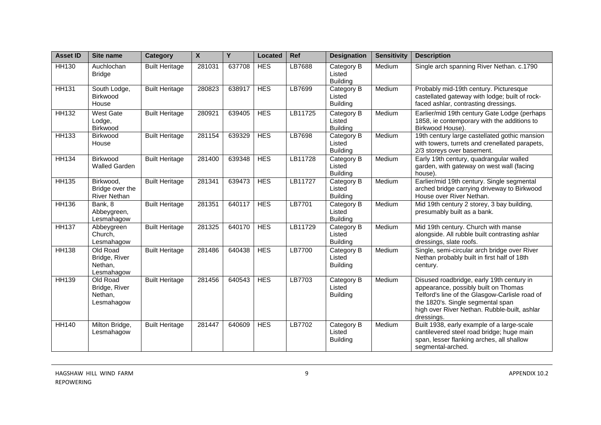| <b>Asset ID</b> | Site name                                           | Category              | $\overline{\mathbf{X}}$ | Y      | Located    | Ref     | <b>Designation</b>                      | <b>Sensitivity</b> | <b>Description</b>                                                                                                                                                                                                                     |
|-----------------|-----------------------------------------------------|-----------------------|-------------------------|--------|------------|---------|-----------------------------------------|--------------------|----------------------------------------------------------------------------------------------------------------------------------------------------------------------------------------------------------------------------------------|
| HH130           | Auchlochan<br><b>Bridge</b>                         | <b>Built Heritage</b> | 281031                  | 637708 | HES        | LB7688  | Category B<br>Listed<br><b>Building</b> | Medium             | Single arch spanning River Nethan. c.1790                                                                                                                                                                                              |
| <b>HH131</b>    | South Lodge,<br>Birkwood<br>House                   | <b>Built Heritage</b> | 280823                  | 638917 | <b>HES</b> | LB7699  | Category B<br>Listed<br><b>Building</b> | Medium             | Probably mid-19th century. Picturesque<br>castellated gateway with lodge; built of rock-<br>faced ashlar, contrasting dressings.                                                                                                       |
| <b>HH132</b>    | <b>West Gate</b><br>Lodge,<br><b>Birkwood</b>       | <b>Built Heritage</b> | 280921                  | 639405 | <b>HES</b> | LB11725 | Category B<br>Listed<br><b>Building</b> | Medium             | Earlier/mid 19th century Gate Lodge (perhaps<br>1858, ie contemporary with the additions to<br>Birkwood House).                                                                                                                        |
| <b>HH133</b>    | <b>Birkwood</b><br>House                            | <b>Built Heritage</b> | 281154                  | 639329 | <b>HES</b> | LB7698  | Category B<br>Listed<br><b>Building</b> | Medium             | 19th century large castellated gothic mansion<br>with towers, turrets and crenellated parapets,<br>2/3 storeys over basement.                                                                                                          |
| <b>HH134</b>    | Birkwood<br><b>Walled Garden</b>                    | <b>Built Heritage</b> | 281400                  | 639348 | <b>HES</b> | LB11728 | Category B<br>Listed<br><b>Building</b> | Medium             | Early 19th century, quadrangular walled<br>garden, with gateway on west wall (facing<br>house).                                                                                                                                        |
| <b>HH135</b>    | Birkwood,<br>Bridge over the<br><b>River Nethan</b> | <b>Built Heritage</b> | 281341                  | 639473 | <b>HES</b> | LB11727 | Category B<br>Listed<br><b>Building</b> | Medium             | Earlier/mid 19th century. Single segmental<br>arched bridge carrying driveway to Birkwood<br>House over River Nethan.                                                                                                                  |
| <b>HH136</b>    | Bank, 8<br>Abbeygreen,<br>Lesmahagow                | <b>Built Heritage</b> | 281351                  | 640117 | <b>HES</b> | LB7701  | Category B<br>Listed<br><b>Building</b> | Medium             | Mid 19th century 2 storey, 3 bay building,<br>presumably built as a bank.                                                                                                                                                              |
| <b>HH137</b>    | Abbeygreen<br>Church,<br>Lesmahagow                 | <b>Built Heritage</b> | 281325                  | 640170 | <b>HES</b> | LB11729 | Category B<br>Listed<br><b>Building</b> | Medium             | Mid 19th century. Church with manse<br>alongside. All rubble built contrasting ashlar<br>dressings, slate roofs.                                                                                                                       |
| <b>HH138</b>    | Old Road<br>Bridge, River<br>Nethan.<br>Lesmahagow  | <b>Built Heritage</b> | 281486                  | 640438 | <b>HES</b> | LB7700  | Category B<br>Listed<br><b>Building</b> | Medium             | Single, semi-circular arch bridge over River<br>Nethan probably built in first half of 18th<br>century.                                                                                                                                |
| <b>HH139</b>    | Old Road<br>Bridge, River<br>Nethan,<br>Lesmahagow  | <b>Built Heritage</b> | 281456                  | 640543 | <b>HES</b> | LB7703  | Category B<br>Listed<br><b>Building</b> | Medium             | Disused roadbridge, early 19th century in<br>appearance, possibly built on Thomas<br>Telford's line of the Glasgow-Carlisle road of<br>the 1820's. Single segmental span<br>high over River Nethan. Rubble-built, ashlar<br>dressings. |
| HH140           | Milton Bridge,<br>Lesmahagow                        | <b>Built Heritage</b> | 281447                  | 640609 | HES        | LB7702  | Category B<br>Listed<br><b>Building</b> | Medium             | Built 1938, early example of a large-scale<br>cantilevered steel road bridge; huge main<br>span, lesser flanking arches, all shallow<br>segmental-arched.                                                                              |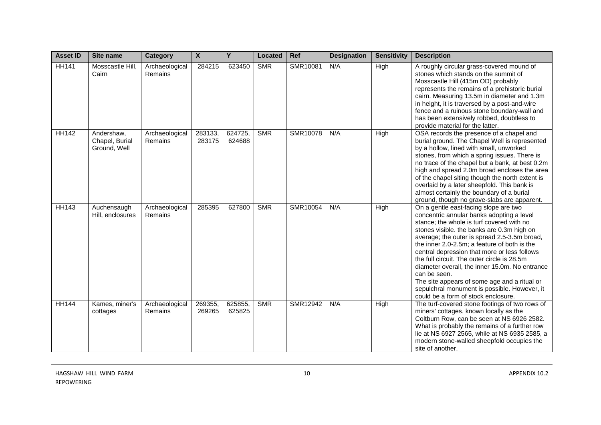| <b>Asset ID</b> | Site name                                    | Category                         | $\overline{\mathbf{X}}$ | Y                 | Located    | Ref      | <b>Designation</b> | <b>Sensitivity</b> | <b>Description</b>                                                                                                                                                                                                                                                                                                                                                                                                                                                                                                                                                                    |
|-----------------|----------------------------------------------|----------------------------------|-------------------------|-------------------|------------|----------|--------------------|--------------------|---------------------------------------------------------------------------------------------------------------------------------------------------------------------------------------------------------------------------------------------------------------------------------------------------------------------------------------------------------------------------------------------------------------------------------------------------------------------------------------------------------------------------------------------------------------------------------------|
| <b>HH141</b>    | Mosscastle Hill,<br>Cairn                    | Archaeological<br>Remains        | 284215                  | 623450            | <b>SMR</b> | SMR10081 | N/A                | High               | A roughly circular grass-covered mound of<br>stones which stands on the summit of<br>Mosscastle Hill (415m OD) probably<br>represents the remains of a prehistoric burial<br>cairn. Measuring 13.5m in diameter and 1.3m<br>in height, it is traversed by a post-and-wire<br>fence and a ruinous stone boundary-wall and<br>has been extensively robbed, doubtless to<br>provide material for the latter.                                                                                                                                                                             |
| <b>HH142</b>    | Andershaw,<br>Chapel, Burial<br>Ground, Well | Archaeological<br>Remains        | 283133,<br>283175       | 624725,<br>624688 | <b>SMR</b> | SMR10078 | N/A                | High               | OSA records the presence of a chapel and<br>burial ground. The Chapel Well is represented<br>by a hollow, lined with small, unworked<br>stones, from which a spring issues. There is<br>no trace of the chapel but a bank, at best 0.2m<br>high and spread 2.0m broad encloses the area<br>of the chapel siting though the north extent is<br>overlaid by a later sheepfold. This bank is<br>almost certainly the boundary of a burial<br>ground, though no grave-slabs are apparent.                                                                                                 |
| <b>HH143</b>    | Auchensaugh<br>Hill, enclosures              | Archaeological<br>Remains        | 285395                  | 627800            | <b>SMR</b> | SMR10054 | N/A                | High               | On a gentle east-facing slope are two<br>concentric annular banks adopting a level<br>stance; the whole is turf covered with no<br>stones visible. the banks are 0.3m high on<br>average; the outer is spread 2.5-3.5m broad,<br>the inner 2.0-2.5m; a feature of both is the<br>central depression that more or less follows<br>the full circuit. The outer circle is 28.5m<br>diameter overall, the inner 15.0m. No entrance<br>can be seen.<br>The site appears of some age and a ritual or<br>sepulchral monument is possible. However, it<br>could be a form of stock enclosure. |
| <b>HH144</b>    | Kames, miner's<br>cottages                   | Archaeological<br><b>Remains</b> | 269355,<br>269265       | 625855,<br>625825 | <b>SMR</b> | SMR12942 | N/A                | High               | The turf-covered stone footings of two rows of<br>miners' cottages, known locally as the<br>Coltburn Row, can be seen at NS 6926 2582.<br>What is probably the remains of a further row<br>lie at NS 6927 2565, while at NS 6935 2585, a<br>modern stone-walled sheepfold occupies the<br>site of another.                                                                                                                                                                                                                                                                            |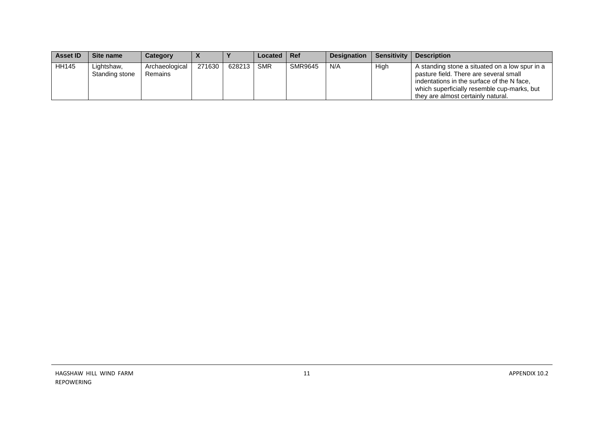| <b>Asset ID</b> | Site name                    | Category                  |        |        | Located   Ref |         | <b>Designation</b> | <b>Sensitivity</b> | <b>Description</b>                                                                                                                                                                                                          |
|-----------------|------------------------------|---------------------------|--------|--------|---------------|---------|--------------------|--------------------|-----------------------------------------------------------------------------------------------------------------------------------------------------------------------------------------------------------------------------|
| <b>HH145</b>    | Liahtshaw.<br>Standing stone | Archaeological<br>Remains | 271630 | 628213 | <b>SMR</b>    | SMR9645 | N/A                | High               | A standing stone a situated on a low spur in a<br>pasture field. There are several small<br>indentations in the surface of the N face,<br>which superficially resemble cup-marks, but<br>they are almost certainly natural. |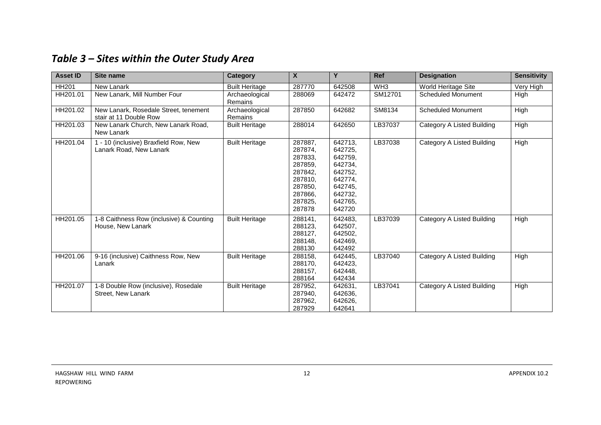<span id="page-13-0"></span>

| <b>Asset ID</b> | Site name                                                        | Category                  | $\mathsf{x}$                                                                                              | Y                                                                                                         | <b>Ref</b>      | <b>Designation</b>         | <b>Sensitivity</b> |
|-----------------|------------------------------------------------------------------|---------------------------|-----------------------------------------------------------------------------------------------------------|-----------------------------------------------------------------------------------------------------------|-----------------|----------------------------|--------------------|
| <b>HH201</b>    | New Lanark                                                       | <b>Built Heritage</b>     | 287770                                                                                                    | 642508                                                                                                    | WH <sub>3</sub> | World Heritage Site        | Very High          |
| HH201.01        | New Lanark, Mill Number Four                                     | Archaeological<br>Remains | 288069                                                                                                    | 642472                                                                                                    | SM12701         | <b>Scheduled Monument</b>  | High               |
| HH201.02        | New Lanark, Rosedale Street, tenement<br>stair at 11 Double Row  | Archaeological<br>Remains | 287850                                                                                                    | 642682                                                                                                    | SM8134          | Scheduled Monument         | High               |
| HH201.03        | New Lanark Church, New Lanark Road,<br>New Lanark                | <b>Built Heritage</b>     | 288014                                                                                                    | 642650                                                                                                    | LB37037         | Category A Listed Building | High               |
| HH201.04        | 1 - 10 (inclusive) Braxfield Row, New<br>Lanark Road, New Lanark | <b>Built Heritage</b>     | 287887.<br>287874.<br>287833,<br>287859,<br>287842,<br>287810,<br>287850,<br>287866.<br>287825,<br>287878 | 642713.<br>642725,<br>642759,<br>642734,<br>642752,<br>642774,<br>642745,<br>642732.<br>642765,<br>642720 | LB37038         | Category A Listed Building | High               |
| HH201.05        | 1-8 Caithness Row (inclusive) & Counting<br>House, New Lanark    | <b>Built Heritage</b>     | 288141,<br>288123,<br>288127.<br>288148,<br>288130                                                        | 642483.<br>642507.<br>642502.<br>642469,<br>642492                                                        | LB37039         | Category A Listed Building | High               |
| HH201.06        | 9-16 (inclusive) Caithness Row, New<br>Lanark                    | <b>Built Heritage</b>     | 288158.<br>288170,<br>288157.<br>288164                                                                   | 642445.<br>642423,<br>642448,<br>642434                                                                   | LB37040         | Category A Listed Building | High               |
| HH201.07        | 1-8 Double Row (inclusive), Rosedale<br>Street, New Lanark       | <b>Built Heritage</b>     | 287952,<br>287940,<br>287962.<br>287929                                                                   | 642631,<br>642636,<br>642626,<br>642641                                                                   | LB37041         | Category A Listed Building | High               |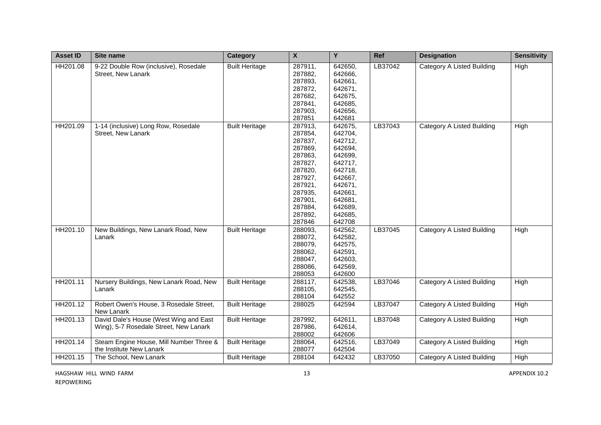| <b>Asset ID</b> | Site name                                                   | Category              | $\overline{\mathbf{X}}$ | $\overline{Y}$     | <b>Ref</b> | <b>Designation</b>                | <b>Sensitivity</b> |
|-----------------|-------------------------------------------------------------|-----------------------|-------------------------|--------------------|------------|-----------------------------------|--------------------|
| HH201.08        | 9-22 Double Row (inclusive), Rosedale<br>Street, New Lanark | <b>Built Heritage</b> | 287911,<br>287882.      | 642650,<br>642666, | LB37042    | Category A Listed Building        | High               |
|                 |                                                             |                       | 287893,                 | 642661,            |            |                                   |                    |
|                 |                                                             |                       | 287872,                 | 642671,            |            |                                   |                    |
|                 |                                                             |                       | 287682,                 | 642675,            |            |                                   |                    |
|                 |                                                             |                       | 287841,                 | 642685,            |            |                                   |                    |
|                 |                                                             |                       | 287903,                 | 642656,            |            |                                   |                    |
|                 |                                                             |                       | 287851                  | 642681             |            |                                   |                    |
| HH201.09        | 1-14 (inclusive) Long Row, Rosedale                         | <b>Built Heritage</b> | 287913,                 | 642675,            | LB37043    | Category A Listed Building        | High               |
|                 | Street, New Lanark                                          |                       | 287854,                 | 642704,            |            |                                   |                    |
|                 |                                                             |                       | 287837,                 | 642712,            |            |                                   |                    |
|                 |                                                             |                       | 287869,                 | 642694,            |            |                                   |                    |
|                 |                                                             |                       | 287863,                 | 642699,            |            |                                   |                    |
|                 |                                                             |                       | 287827,                 | 642717,            |            |                                   |                    |
|                 |                                                             |                       | 287820,                 | 642718,            |            |                                   |                    |
|                 |                                                             |                       | 287927,                 | 642667,            |            |                                   |                    |
|                 |                                                             |                       | 287921,                 | 642671,            |            |                                   |                    |
|                 |                                                             |                       | 287935,                 | 642661,            |            |                                   |                    |
|                 |                                                             |                       | 287901,                 | 642681,            |            |                                   |                    |
|                 |                                                             |                       | 287884,                 | 642689,            |            |                                   |                    |
|                 |                                                             |                       | 287892,                 | 642685,            |            |                                   |                    |
|                 |                                                             |                       | 287846                  | 642708             |            |                                   |                    |
| HH201.10        | New Buildings, New Lanark Road, New                         | <b>Built Heritage</b> | 288093,                 | 642562,            | LB37045    | Category A Listed Building        | High               |
|                 | Lanark                                                      |                       | 288072,                 | 642582,            |            |                                   |                    |
|                 |                                                             |                       | 288079,                 | 642575,            |            |                                   |                    |
|                 |                                                             |                       | 288062,                 | 642591,            |            |                                   |                    |
|                 |                                                             |                       | 288047,                 | 642603,            |            |                                   |                    |
|                 |                                                             |                       | 288086,                 | 642569,            |            |                                   |                    |
|                 |                                                             |                       | 288053                  | 642600             |            |                                   |                    |
| HH201.11        | Nursery Buildings, New Lanark Road, New                     | <b>Built Heritage</b> | 288117,                 | 642538,            | LB37046    | Category A Listed Building        | High               |
|                 | Lanark                                                      |                       | 288105,                 | 642545,            |            |                                   |                    |
|                 |                                                             |                       | 288104                  | 642552             |            |                                   |                    |
| HH201.12        | Robert Owen's House, 3 Rosedale Street,<br>New Lanark       | <b>Built Heritage</b> | 288025                  | 642594             | LB37047    | Category A Listed Building        | High               |
| HH201.13        | David Dale's House (West Wing and East                      | <b>Built Heritage</b> | 287992,                 | 642611,            | LB37048    | Category A Listed Building        | High               |
|                 | Wing), 5-7 Rosedale Street, New Lanark                      |                       | 287986,                 | 642614,            |            |                                   |                    |
|                 |                                                             |                       | 288002                  | 642606             |            |                                   |                    |
| HH201.14        | Steam Engine House, Mill Number Three &                     | <b>Built Heritage</b> | 288064,                 | 642516,            | LB37049    | <b>Category A Listed Building</b> | <b>High</b>        |
|                 | the Institute New Lanark                                    |                       | 288077                  | 642504             |            |                                   |                    |
| HH201.15        | The School, New Lanark                                      | <b>Built Heritage</b> | 288104                  | 642432             | LB37050    | Category A Listed Building        | High               |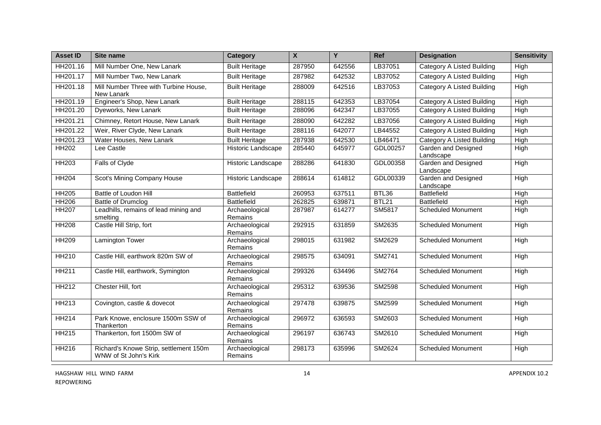| <b>Asset ID</b> | <b>Site name</b>                                                | Category                  | $\overline{\mathbf{x}}$ | Y      | Ref           | <b>Designation</b>                | <b>Sensitivity</b> |
|-----------------|-----------------------------------------------------------------|---------------------------|-------------------------|--------|---------------|-----------------------------------|--------------------|
| HH201.16        | Mill Number One, New Lanark                                     | <b>Built Heritage</b>     | 287950                  | 642556 | LB37051       | <b>Category A Listed Building</b> | High               |
| HH201.17        | Mill Number Two, New Lanark                                     | <b>Built Heritage</b>     | 287982                  | 642532 | LB37052       | Category A Listed Building        | High               |
| HH201.18        | Mill Number Three with Turbine House,<br>New Lanark             | <b>Built Heritage</b>     | 288009                  | 642516 | LB37053       | <b>Category A Listed Building</b> | High               |
| HH201.19        | Engineer's Shop, New Lanark                                     | <b>Built Heritage</b>     | 288115                  | 642353 | LB37054       | <b>Category A Listed Building</b> | High               |
| HH201.20        | Dyeworks, New Lanark                                            | <b>Built Heritage</b>     | 288096                  | 642347 | LB37055       | <b>Category A Listed Building</b> | High               |
| HH201.21        | Chimney, Retort House, New Lanark                               | <b>Built Heritage</b>     | 288090                  | 642282 | LB37056       | <b>Category A Listed Building</b> | High               |
| HH201.22        | Weir, River Clyde, New Lanark                                   | <b>Built Heritage</b>     | 288116                  | 642077 | LB44552       | Category A Listed Building        | High               |
| HH201.23        | Water Houses, New Lanark                                        | <b>Built Heritage</b>     | 287938                  | 642530 | LB46471       | <b>Category A Listed Building</b> | High               |
| <b>HH202</b>    | Lee Castle                                                      | Historic Landscape        | 285440                  | 645977 | GDL00257      | Garden and Designed<br>Landscape  | High               |
| <b>HH203</b>    | Falls of Clyde                                                  | Historic Landscape        | 288286                  | 641830 | GDL00358      | Garden and Designed<br>Landscape  | High               |
| <b>HH204</b>    | Scot's Mining Company House                                     | Historic Landscape        | 288614                  | 614812 | GDL00339      | Garden and Designed<br>Landscape  | High               |
| <b>HH205</b>    | Battle of Loudon Hill                                           | <b>Battlefield</b>        | 260953                  | 637511 | BTL36         | <b>Battlefield</b>                | High               |
| <b>HH206</b>    | <b>Battle of Drumclog</b>                                       | <b>Battlefield</b>        | 262825                  | 639871 | <b>BTL21</b>  | <b>Battlefield</b>                | High               |
| <b>HH207</b>    | Leadhills, remains of lead mining and<br>smelting               | Archaeological<br>Remains | 287987                  | 614277 | SM5817        | <b>Scheduled Monument</b>         | High               |
| <b>HH208</b>    | Castle Hill Strip, fort                                         | Archaeological<br>Remains | 292915                  | 631859 | SM2635        | <b>Scheduled Monument</b>         | High               |
| <b>HH209</b>    | Lamington Tower                                                 | Archaeological<br>Remains | 298015                  | 631982 | SM2629        | <b>Scheduled Monument</b>         | High               |
| <b>HH210</b>    | Castle Hill, earthwork 820m SW of                               | Archaeological<br>Remains | 298575                  | 634091 | SM2741        | <b>Scheduled Monument</b>         | High               |
| <b>HH211</b>    | Castle Hill, earthwork, Symington                               | Archaeological<br>Remains | 299326                  | 634496 | SM2764        | <b>Scheduled Monument</b>         | High               |
| <b>HH212</b>    | Chester Hill, fort                                              | Archaeological<br>Remains | 295312                  | 639536 | <b>SM2598</b> | <b>Scheduled Monument</b>         | High               |
| <b>HH213</b>    | Covington, castle & dovecot                                     | Archaeological<br>Remains | 297478                  | 639875 | SM2599        | <b>Scheduled Monument</b>         | High               |
| <b>HH214</b>    | Park Knowe, enclosure 1500m SSW of<br>Thankerton                | Archaeological<br>Remains | 296972                  | 636593 | SM2603        | <b>Scheduled Monument</b>         | High               |
| <b>HH215</b>    | Thankerton, fort 1500m SW of                                    | Archaeological<br>Remains | 296197                  | 636743 | SM2610        | <b>Scheduled Monument</b>         | High               |
| <b>HH216</b>    | Richard's Knowe Strip, settlement 150m<br>WNW of St John's Kirk | Archaeological<br>Remains | 298173                  | 635996 | SM2624        | <b>Scheduled Monument</b>         | High               |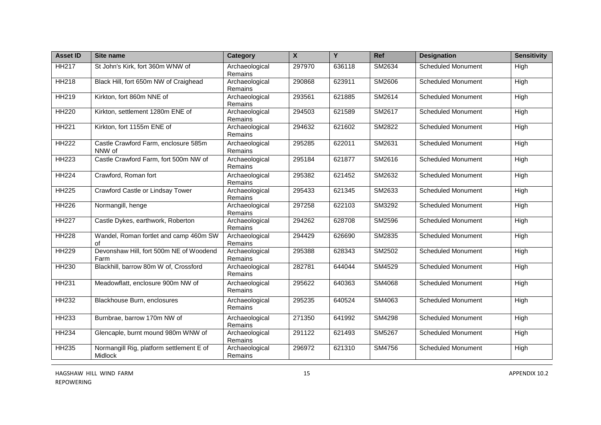| <b>Asset ID</b> | Site name                                           | Category                  | $\overline{\mathbf{x}}$ | $\overline{Y}$ | <b>Ref</b>    | <b>Designation</b>        | <b>Sensitivity</b> |
|-----------------|-----------------------------------------------------|---------------------------|-------------------------|----------------|---------------|---------------------------|--------------------|
| <b>HH217</b>    | St John's Kirk, fort 360m WNW of                    | Archaeological<br>Remains | 297970                  | 636118         | SM2634        | <b>Scheduled Monument</b> | High               |
| <b>HH218</b>    | Black Hill, fort 650m NW of Craighead               | Archaeological<br>Remains | 290868                  | 623911         | SM2606        | <b>Scheduled Monument</b> | High               |
| <b>HH219</b>    | Kirkton, fort 860m NNE of                           | Archaeological<br>Remains | 293561                  | 621885         | SM2614        | <b>Scheduled Monument</b> | High               |
| <b>HH220</b>    | Kirkton, settlement 1280m ENE of                    | Archaeological<br>Remains | 294503                  | 621589         | SM2617        | <b>Scheduled Monument</b> | High               |
| <b>HH221</b>    | Kirkton, fort 1155m ENE of                          | Archaeological<br>Remains | 294632                  | 621602         | SM2822        | <b>Scheduled Monument</b> | High               |
| <b>HH222</b>    | Castle Crawford Farm, enclosure 585m<br>NNW of      | Archaeological<br>Remains | 295285                  | 622011         | SM2631        | <b>Scheduled Monument</b> | High               |
| <b>HH223</b>    | Castle Crawford Farm, fort 500m NW of               | Archaeological<br>Remains | 295184                  | 621877         | SM2616        | <b>Scheduled Monument</b> | High               |
| <b>HH224</b>    | Crawford, Roman fort                                | Archaeological<br>Remains | 295382                  | 621452         | SM2632        | <b>Scheduled Monument</b> | High               |
| <b>HH225</b>    | Crawford Castle or Lindsay Tower                    | Archaeological<br>Remains | 295433                  | 621345         | SM2633        | <b>Scheduled Monument</b> | High               |
| <b>HH226</b>    | Normangill, henge                                   | Archaeological<br>Remains | 297258                  | 622103         | SM3292        | <b>Scheduled Monument</b> | High               |
| <b>HH227</b>    | Castle Dykes, earthwork, Roberton                   | Archaeological<br>Remains | 294262                  | 628708         | <b>SM2596</b> | <b>Scheduled Monument</b> | High               |
| <b>HH228</b>    | Wandel, Roman fortlet and camp 460m SW<br>οf        | Archaeological<br>Remains | 294429                  | 626690         | SM2835        | <b>Scheduled Monument</b> | High               |
| <b>HH229</b>    | Devonshaw Hill, fort 500m NE of Woodend<br>Farm     | Archaeological<br>Remains | 295388                  | 628343         | SM2502        | <b>Scheduled Monument</b> | High               |
| <b>HH230</b>    | Blackhill, barrow 80m W of, Crossford               | Archaeological<br>Remains | 282781                  | 644044         | SM4529        | <b>Scheduled Monument</b> | High               |
| <b>HH231</b>    | Meadowflatt, enclosure 900m NW of                   | Archaeological<br>Remains | 295622                  | 640363         | SM4068        | <b>Scheduled Monument</b> | High               |
| <b>HH232</b>    | Blackhouse Burn, enclosures                         | Archaeological<br>Remains | 295235                  | 640524         | SM4063        | <b>Scheduled Monument</b> | High               |
| <b>HH233</b>    | Burnbrae, barrow 170m NW of                         | Archaeological<br>Remains | 271350                  | 641992         | SM4298        | <b>Scheduled Monument</b> | High               |
| <b>HH234</b>    | Glencaple, burnt mound 980m WNW of                  | Archaeological<br>Remains | 291122                  | 621493         | SM5267        | <b>Scheduled Monument</b> | High               |
| <b>HH235</b>    | Normangill Rig, platform settlement E of<br>Midlock | Archaeological<br>Remains | 296972                  | 621310         | SM4756        | <b>Scheduled Monument</b> | High               |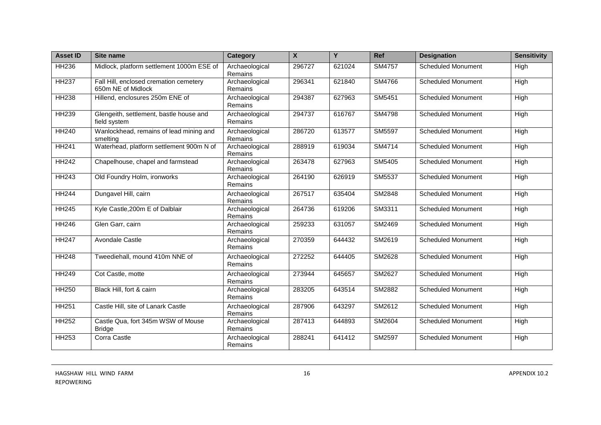| <b>Asset ID</b> | Site name                                                    | Category                  | $\overline{\mathbf{X}}$ | Y      | Ref           | <b>Designation</b>        | <b>Sensitivity</b> |
|-----------------|--------------------------------------------------------------|---------------------------|-------------------------|--------|---------------|---------------------------|--------------------|
| <b>HH236</b>    | Midlock, platform settlement 1000m ESE of                    | Archaeological<br>Remains | 296727                  | 621024 | <b>SM4757</b> | <b>Scheduled Monument</b> | High               |
| <b>HH237</b>    | Fall Hill, enclosed cremation cemetery<br>650m NE of Midlock | Archaeological<br>Remains | 296341                  | 621840 | SM4766        | <b>Scheduled Monument</b> | High               |
| <b>HH238</b>    | Hillend, enclosures 250m ENE of                              | Archaeological<br>Remains | 294387                  | 627963 | SM5451        | <b>Scheduled Monument</b> | High               |
| <b>HH239</b>    | Glengeith, settlement, bastle house and<br>field system      | Archaeological<br>Remains | 294737                  | 616767 | SM4798        | <b>Scheduled Monument</b> | High               |
| <b>HH240</b>    | Wanlockhead, remains of lead mining and<br>smelting          | Archaeological<br>Remains | 286720                  | 613577 | SM5597        | <b>Scheduled Monument</b> | High               |
| <b>HH241</b>    | Waterhead, platform settlement 900m N of                     | Archaeological<br>Remains | 288919                  | 619034 | SM4714        | <b>Scheduled Monument</b> | High               |
| <b>HH242</b>    | Chapelhouse, chapel and farmstead                            | Archaeological<br>Remains | 263478                  | 627963 | SM5405        | <b>Scheduled Monument</b> | High               |
| <b>HH243</b>    | Old Foundry Holm, ironworks                                  | Archaeological<br>Remains | 264190                  | 626919 | SM5537        | <b>Scheduled Monument</b> | High               |
| <b>HH244</b>    | Dungavel Hill, cairn                                         | Archaeological<br>Remains | 267517                  | 635404 | SM2848        | <b>Scheduled Monument</b> | High               |
| <b>HH245</b>    | Kyle Castle, 200m E of Dalblair                              | Archaeological<br>Remains | 264736                  | 619206 | SM3311        | <b>Scheduled Monument</b> | High               |
| <b>HH246</b>    | Glen Garr, cairn                                             | Archaeological<br>Remains | 259233                  | 631057 | SM2469        | <b>Scheduled Monument</b> | High               |
| <b>HH247</b>    | Avondale Castle                                              | Archaeological<br>Remains | 270359                  | 644432 | SM2619        | <b>Scheduled Monument</b> | High               |
| <b>HH248</b>    | Tweediehall, mound 410m NNE of                               | Archaeological<br>Remains | 272252                  | 644405 | SM2628        | <b>Scheduled Monument</b> | High               |
| <b>HH249</b>    | Cot Castle, motte                                            | Archaeological<br>Remains | 273944                  | 645657 | SM2627        | <b>Scheduled Monument</b> | High               |
| <b>HH250</b>    | Black Hill, fort & cairn                                     | Archaeological<br>Remains | 283205                  | 643514 | SM2882        | <b>Scheduled Monument</b> | High               |
| <b>HH251</b>    | Castle Hill, site of Lanark Castle                           | Archaeological<br>Remains | 287906                  | 643297 | SM2612        | <b>Scheduled Monument</b> | High               |
| <b>HH252</b>    | Castle Qua, fort 345m WSW of Mouse<br><b>Bridge</b>          | Archaeological<br>Remains | 287413                  | 644893 | SM2604        | <b>Scheduled Monument</b> | High               |
| <b>HH253</b>    | Corra Castle                                                 | Archaeological<br>Remains | 288241                  | 641412 | SM2597        | <b>Scheduled Monument</b> | High               |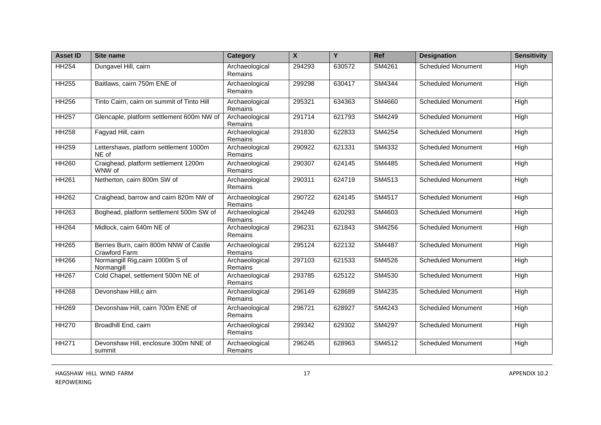| <b>Asset ID</b> | Site name                                               | Category                  | $\overline{\mathbf{X}}$ | Y      | <b>Ref</b> | <b>Designation</b>        | <b>Sensitivity</b> |
|-----------------|---------------------------------------------------------|---------------------------|-------------------------|--------|------------|---------------------------|--------------------|
| <b>HH254</b>    | Dungavel Hill, cairn                                    | Archaeological<br>Remains | 294293                  | 630572 | SM4261     | Scheduled Monument        | High               |
| <b>HH255</b>    | Baitlaws, cairn 750m ENE of                             | Archaeological<br>Remains | 299298                  | 630417 | SM4344     | <b>Scheduled Monument</b> | High               |
| <b>HH256</b>    | Tinto Cairn, cairn on summit of Tinto Hill              | Archaeological<br>Remains | 295321                  | 634363 | SM4660     | <b>Scheduled Monument</b> | High               |
| <b>HH257</b>    | Glencaple, platform settlement 600m NW of               | Archaeological<br>Remains | 291714                  | 621793 | SM4249     | <b>Scheduled Monument</b> | High               |
| <b>HH258</b>    | Fagyad Hill, cairn                                      | Archaeological<br>Remains | 291830                  | 622833 | SM4254     | <b>Scheduled Monument</b> | High               |
| <b>HH259</b>    | Lettershaws, platform settlement 1000m<br>NE of         | Archaeological<br>Remains | 290922                  | 621331 | SM4332     | <b>Scheduled Monument</b> | High               |
| <b>HH260</b>    | Craighead, platform settlement 1200m<br>WNW of          | Archaeological<br>Remains | 290307                  | 624145 | SM4485     | <b>Scheduled Monument</b> | High               |
| <b>HH261</b>    | Netherton, cairn 800m SW of                             | Archaeological<br>Remains | 290311                  | 624719 | SM4513     | <b>Scheduled Monument</b> | High               |
| <b>HH262</b>    | Craighead, barrow and cairn 820m NW of                  | Archaeological<br>Remains | 290722                  | 624145 | SM4517     | <b>Scheduled Monument</b> | High               |
| HH263           | Boghead, platform settlement 500m SW of                 | Archaeological<br>Remains | 294249                  | 620293 | SM4603     | <b>Scheduled Monument</b> | High               |
| <b>HH264</b>    | Midlock, cairn 640m NE of                               | Archaeological<br>Remains | 296231                  | 621843 | SM4256     | <b>Scheduled Monument</b> | High               |
| <b>HH265</b>    | Berries Burn, cairn 800m NNW of Castle<br>Crawford Farm | Archaeological<br>Remains | 295124                  | 622132 | SM4487     | <b>Scheduled Monument</b> | High               |
| <b>HH266</b>    | Normangill Rig, cairn 1000m S of<br>Normangill          | Archaeological<br>Remains | 297103                  | 621533 | SM4526     | <b>Scheduled Monument</b> | High               |
| <b>HH267</b>    | Cold Chapel, settlement 500m NE of                      | Archaeological<br>Remains | 293785                  | 625122 | SM4530     | <b>Scheduled Monument</b> | High               |
| <b>HH268</b>    | Devonshaw Hill,c airn                                   | Archaeological<br>Remains | 296149                  | 628689 | SM4235     | <b>Scheduled Monument</b> | High               |
| <b>HH269</b>    | Devonshaw Hill, cairn 700m ENE of                       | Archaeological<br>Remains | 296721                  | 628927 | SM4243     | <b>Scheduled Monument</b> | High               |
| <b>HH270</b>    | Broadhill End, cairn                                    | Archaeological<br>Remains | 299342                  | 629302 | SM4297     | <b>Scheduled Monument</b> | High               |
| <b>HH271</b>    | Devonshaw Hill, enclosure 300m NNE of<br>summit         | Archaeological<br>Remains | 296245                  | 628963 | SM4512     | <b>Scheduled Monument</b> | High               |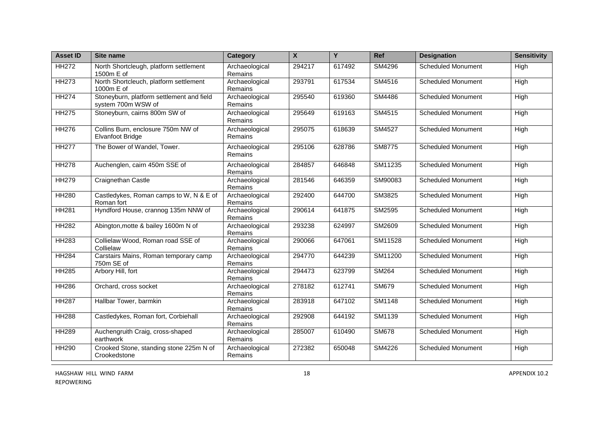| <b>Asset ID</b> | Site name                                                       | Category                  | $\overline{\mathbf{X}}$ | Y      | Ref          | <b>Designation</b>        | <b>Sensitivity</b> |
|-----------------|-----------------------------------------------------------------|---------------------------|-------------------------|--------|--------------|---------------------------|--------------------|
| <b>HH272</b>    | North Shortcleugh, platform settlement<br>1500m E of            | Archaeological<br>Remains | 294217                  | 617492 | SM4296       | <b>Scheduled Monument</b> | High               |
| <b>HH273</b>    | North Shortcleuch, platform settlement<br>1000m E of            | Archaeological<br>Remains | 293791                  | 617534 | SM4516       | <b>Scheduled Monument</b> | High               |
| <b>HH274</b>    | Stoneyburn, platform settlement and field<br>system 700m WSW of | Archaeological<br>Remains | 295540                  | 619360 | SM4486       | <b>Scheduled Monument</b> | High               |
| <b>HH275</b>    | Stoneyburn, cairns 800m SW of                                   | Archaeological<br>Remains | 295649                  | 619163 | SM4515       | <b>Scheduled Monument</b> | High               |
| <b>HH276</b>    | Collins Burn, enclosure 750m NW of<br><b>Elvanfoot Bridge</b>   | Archaeological<br>Remains | 295075                  | 618639 | SM4527       | <b>Scheduled Monument</b> | High               |
| <b>HH277</b>    | The Bower of Wandel, Tower.                                     | Archaeological<br>Remains | 295106                  | 628786 | SM8775       | <b>Scheduled Monument</b> | High               |
| <b>HH278</b>    | Auchenglen, cairn 450m SSE of                                   | Archaeological<br>Remains | 284857                  | 646848 | SM11235      | <b>Scheduled Monument</b> | High               |
| <b>HH279</b>    | Craignethan Castle                                              | Archaeological<br>Remains | 281546                  | 646359 | SM90083      | <b>Scheduled Monument</b> | High               |
| <b>HH280</b>    | Castledykes, Roman camps to W, N & E of<br>Roman fort           | Archaeological<br>Remains | 292400                  | 644700 | SM3825       | <b>Scheduled Monument</b> | High               |
| <b>HH281</b>    | Hyndford House, crannog 135m NNW of                             | Archaeological<br>Remains | 290614                  | 641875 | SM2595       | <b>Scheduled Monument</b> | High               |
| <b>HH282</b>    | Abington, motte & bailey 1600m N of                             | Archaeological<br>Remains | 293238                  | 624997 | SM2609       | <b>Scheduled Monument</b> | High               |
| <b>HH283</b>    | Collielaw Wood, Roman road SSE of<br>Collielaw                  | Archaeological<br>Remains | 290066                  | 647061 | SM11528      | <b>Scheduled Monument</b> | High               |
| <b>HH284</b>    | Carstairs Mains, Roman temporary camp<br>750m SE of             | Archaeological<br>Remains | 294770                  | 644239 | SM11200      | <b>Scheduled Monument</b> | High               |
| <b>HH285</b>    | Arbory Hill, fort                                               | Archaeological<br>Remains | 294473                  | 623799 | <b>SM264</b> | <b>Scheduled Monument</b> | High               |
| <b>HH286</b>    | Orchard, cross socket                                           | Archaeological<br>Remains | 278182                  | 612741 | <b>SM679</b> | <b>Scheduled Monument</b> | High               |
| <b>HH287</b>    | Hallbar Tower, barmkin                                          | Archaeological<br>Remains | 283918                  | 647102 | SM1148       | <b>Scheduled Monument</b> | High               |
| <b>HH288</b>    | Castledykes, Roman fort, Corbiehall                             | Archaeological<br>Remains | 292908                  | 644192 | SM1139       | <b>Scheduled Monument</b> | High               |
| <b>HH289</b>    | Auchengruith Craig, cross-shaped<br>earthwork                   | Archaeological<br>Remains | 285007                  | 610490 | <b>SM678</b> | <b>Scheduled Monument</b> | High               |
| <b>HH290</b>    | Crooked Stone, standing stone 225m N of<br>Crookedstone         | Archaeological<br>Remains | 272382                  | 650048 | SM4226       | <b>Scheduled Monument</b> | High               |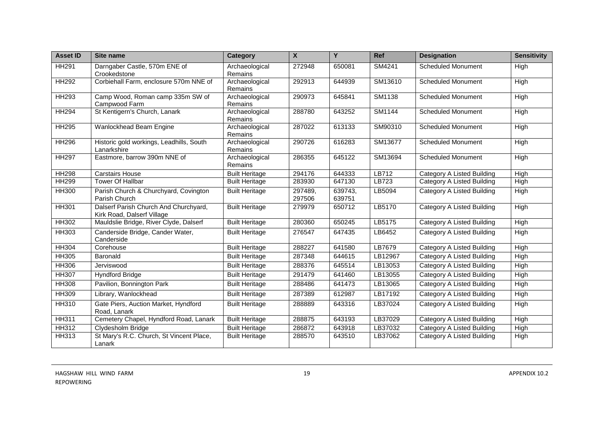| <b>Asset ID</b> | Site name                                                           | <b>Category</b>           | $\boldsymbol{\mathsf{X}}$ | Y                 | Ref     | <b>Designation</b>                | <b>Sensitivity</b> |
|-----------------|---------------------------------------------------------------------|---------------------------|---------------------------|-------------------|---------|-----------------------------------|--------------------|
| <b>HH291</b>    | Darngaber Castle, 570m ENE of<br>Crookedstone                       | Archaeological<br>Remains | 272948                    | 650081            | SM4241  | Scheduled Monument                | High               |
| <b>HH292</b>    | Corbiehall Farm, enclosure 570m NNE of                              | Archaeological<br>Remains | 292913                    | 644939            | SM13610 | <b>Scheduled Monument</b>         | High               |
| <b>HH293</b>    | Camp Wood, Roman camp 335m SW of<br>Campwood Farm                   | Archaeological<br>Remains | 290973                    | 645841            | SM1138  | <b>Scheduled Monument</b>         | High               |
| <b>HH294</b>    | St Kentigern's Church, Lanark                                       | Archaeological<br>Remains | 288780                    | 643252            | SM1144  | <b>Scheduled Monument</b>         | High               |
| <b>HH295</b>    | Wanlockhead Beam Engine                                             | Archaeological<br>Remains | 287022                    | 613133            | SM90310 | <b>Scheduled Monument</b>         | High               |
| <b>HH296</b>    | Historic gold workings, Leadhills, South<br>Lanarkshire             | Archaeological<br>Remains | 290726                    | 616283            | SM13677 | <b>Scheduled Monument</b>         | High               |
| <b>HH297</b>    | Eastmore, barrow 390m NNE of                                        | Archaeological<br>Remains | 286355                    | 645122            | SM13694 | <b>Scheduled Monument</b>         | High               |
| <b>HH298</b>    | <b>Carstairs House</b>                                              | <b>Built Heritage</b>     | 294176                    | 644333            | LB712   | Category A Listed Building        | High               |
| <b>HH299</b>    | <b>Tower Of Hallbar</b>                                             | <b>Built Heritage</b>     | 283930                    | 647130            | LB723   | <b>Category A Listed Building</b> | High               |
| <b>HH300</b>    | Parish Church & Churchyard, Covington<br>Parish Church              | <b>Built Heritage</b>     | 297489,<br>297506         | 639743,<br>639751 | LB5094  | Category A Listed Building        | High               |
| <b>HH301</b>    | Dalserf Parish Church And Churchyard,<br>Kirk Road, Dalserf Village | <b>Built Heritage</b>     | 279979                    | 650712            | LB5170  | Category A Listed Building        | High               |
| <b>HH302</b>    | Mauldslie Bridge, River Clyde, Dalserf                              | <b>Built Heritage</b>     | 280360                    | 650245            | LB5175  | <b>Category A Listed Building</b> | High               |
| <b>HH303</b>    | Canderside Bridge, Cander Water,<br>Canderside                      | <b>Built Heritage</b>     | 276547                    | 647435            | LB6452  | Category A Listed Building        | <b>High</b>        |
| <b>HH304</b>    | Corehouse                                                           | <b>Built Heritage</b>     | 288227                    | 641580            | LB7679  | Category A Listed Building        | High               |
| <b>HH305</b>    | Baronald                                                            | <b>Built Heritage</b>     | 287348                    | 644615            | LB12967 | <b>Category A Listed Building</b> | High               |
| <b>HH306</b>    | Jerviswood                                                          | <b>Built Heritage</b>     | 288376                    | 645514            | LB13053 | Category A Listed Building        | High               |
| <b>HH307</b>    | <b>Hyndford Bridge</b>                                              | <b>Built Heritage</b>     | 291479                    | 641460            | LB13055 | Category A Listed Building        | High               |
| <b>HH308</b>    | Pavilion, Bonnington Park                                           | <b>Built Heritage</b>     | 288486                    | 641473            | LB13065 | <b>Category A Listed Building</b> | High               |
| HH309           | Library, Wanlockhead                                                | <b>Built Heritage</b>     | 287389                    | 612987            | LB17192 | Category A Listed Building        | High               |
| <b>HH310</b>    | Gate Piers, Auction Market, Hyndford<br>Road, Lanark                | <b>Built Heritage</b>     | 288889                    | 643316            | LB37024 | <b>Category A Listed Building</b> | High               |
| <b>HH311</b>    | Cemetery Chapel, Hyndford Road, Lanark                              | <b>Built Heritage</b>     | 288875                    | 643193            | LB37029 | Category A Listed Building        | High               |
| <b>HH312</b>    | Clydesholm Bridge                                                   | <b>Built Heritage</b>     | 286872                    | 643918            | LB37032 | <b>Category A Listed Building</b> | High               |
| <b>HH313</b>    | St Mary's R.C. Church, St Vincent Place,<br>Lanark                  | <b>Built Heritage</b>     | 288570                    | 643510            | LB37062 | Category A Listed Building        | High               |